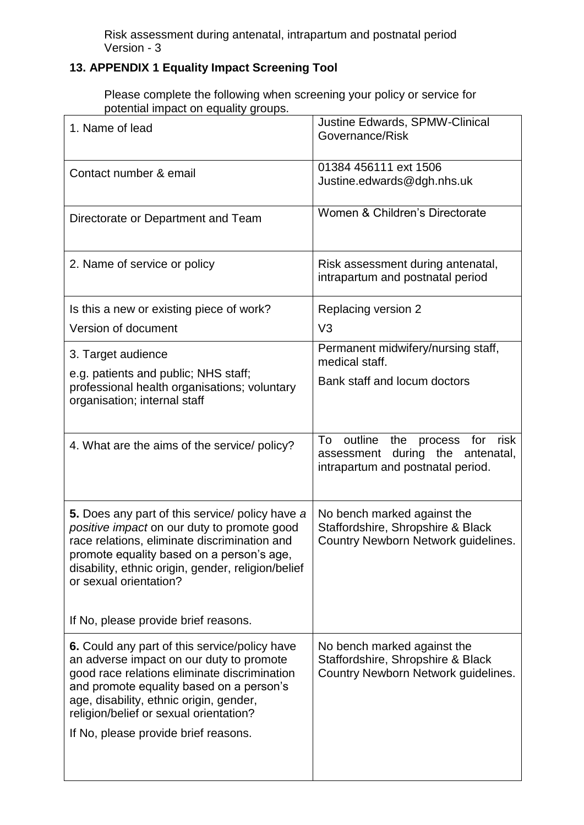Risk assessment during antenatal, intrapartum and postnatal period Version - 3

## **13. APPENDIX 1 Equality Impact Screening Tool**

Please complete the following when screening your policy or service for potential impact on equality groups.

| 1. Name of lead                                                                                                                                                                                                                                                                                                    | Justine Edwards, SPMW-Clinical<br>Governance/Risk                                                           |
|--------------------------------------------------------------------------------------------------------------------------------------------------------------------------------------------------------------------------------------------------------------------------------------------------------------------|-------------------------------------------------------------------------------------------------------------|
| Contact number & email                                                                                                                                                                                                                                                                                             | 01384 456111 ext 1506<br>Justine.edwards@dgh.nhs.uk                                                         |
| Directorate or Department and Team                                                                                                                                                                                                                                                                                 | Women & Children's Directorate                                                                              |
| 2. Name of service or policy                                                                                                                                                                                                                                                                                       | Risk assessment during antenatal,<br>intrapartum and postnatal period                                       |
| Is this a new or existing piece of work?                                                                                                                                                                                                                                                                           | Replacing version 2                                                                                         |
| Version of document                                                                                                                                                                                                                                                                                                | V <sub>3</sub>                                                                                              |
| 3. Target audience                                                                                                                                                                                                                                                                                                 | Permanent midwifery/nursing staff,<br>medical staff.                                                        |
| e.g. patients and public; NHS staff;<br>professional health organisations; voluntary<br>organisation; internal staff                                                                                                                                                                                               | Bank staff and locum doctors                                                                                |
| 4. What are the aims of the service/ policy?                                                                                                                                                                                                                                                                       | outline the process for risk<br>To<br>assessment during the antenatal,<br>intrapartum and postnatal period. |
| 5. Does any part of this service/ policy have a<br>positive impact on our duty to promote good<br>race relations, eliminate discrimination and<br>promote equality based on a person's age,<br>disability, ethnic origin, gender, religion/belief<br>or sexual orientation?                                        | No bench marked against the<br>Staffordshire, Shropshire & Black<br>Country Newborn Network guidelines.     |
| If No, please provide brief reasons.                                                                                                                                                                                                                                                                               |                                                                                                             |
| 6. Could any part of this service/policy have<br>an adverse impact on our duty to promote<br>good race relations eliminate discrimination<br>and promote equality based on a person's<br>age, disability, ethnic origin, gender,<br>religion/belief or sexual orientation?<br>If No, please provide brief reasons. | No bench marked against the<br>Staffordshire, Shropshire & Black<br>Country Newborn Network guidelines.     |